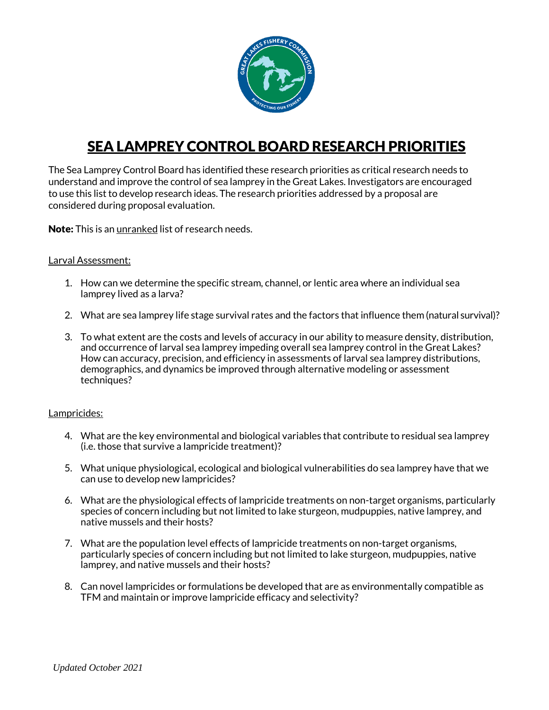

# SEA LAMPREY CONTROL BOARD RESEARCH PRIORITIES

The Sea Lamprey Control Board has identified these research priorities as critical research needs to understand and improve the control of sea lamprey in the Great Lakes. Investigators are encouraged to use this list to develop research ideas. The research priorities addressed by a proposal are considered during proposal evaluation.

Note: This is an unranked list of research needs.

# Larval Assessment:

- 1. How can we determine the specific stream, channel, or lentic area where an individual sea lamprey lived as a larva?
- 2. What are sea lamprey life stage survival rates and the factors that influence them (natural survival)?
- 3. To what extent are the costs and levels of accuracy in our ability to measure density, distribution, and occurrence of larval sea lamprey impeding overall sea lamprey control in the Great Lakes? How can accuracy, precision, and efficiency in assessments of larval sea lamprey distributions, demographics, and dynamics be improved through alternative modeling or assessment techniques?

## Lampricides:

- 4. What are the key environmental and biological variables that contribute to residual sea lamprey (i.e. those that survive a lampricide treatment)?
- 5. What unique physiological, ecological and biological vulnerabilities do sea lamprey have that we can use to develop new lampricides?
- 6. What are the physiological effects of lampricide treatments on non-target organisms, particularly species of concern including but not limited to lake sturgeon, mudpuppies, native lamprey, and native mussels and their hosts?
- 7. What are the population level effects of lampricide treatments on non-target organisms, particularly species of concern including but not limited to lake sturgeon, mudpuppies, native lamprey, and native mussels and their hosts?
- 8. Can novel lampricides or formulations be developed that are as environmentally compatible as TFM and maintain or improve lampricide efficacy and selectivity?